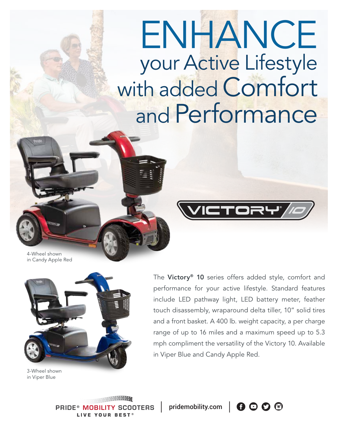# ENHANCE your Active Lifestyle with added Comfort and Performance

4-Wheel shown in Candy Apple Red



3-Wheel shown in Viper Blue

The Victory<sup>®</sup> 10 series offers added style, comfort and performance for your active lifestyle. Standard features include LED pathway light, LED battery meter, feather touch disassembly, wraparound delta tiller, 10" solid tires and a front basket. A 400 lb. weight capacity, a per charge range of up to 16 miles and a maximum speed up to 5.3 mph compliment the versatility of the Victory 10. Available in Viper Blue and Candy Apple Red.

**PRIDE® MOBILITY SCOOTERS** LIVE YOUR BEST®